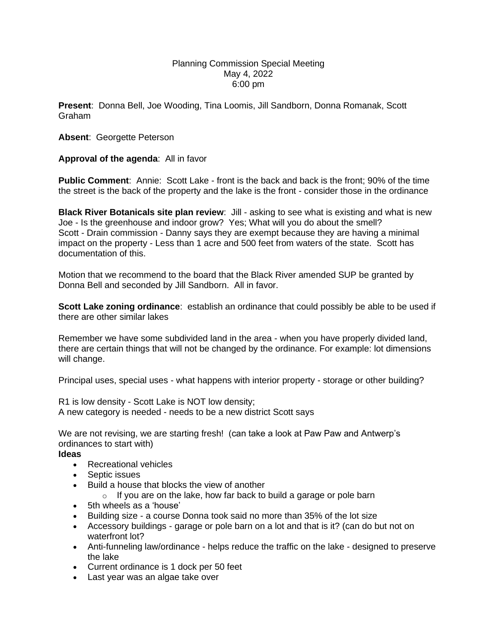## Planning Commission Special Meeting May 4, 2022 6:00 pm

**Present**: Donna Bell, Joe Wooding, Tina Loomis, Jill Sandborn, Donna Romanak, Scott Graham

## **Absent**: Georgette Peterson

## **Approval of the agenda**: All in favor

**Public Comment**: Annie: Scott Lake - front is the back and back is the front; 90% of the time the street is the back of the property and the lake is the front - consider those in the ordinance

**Black River Botanicals site plan review**: Jill - asking to see what is existing and what is new Joe - Is the greenhouse and indoor grow? Yes; What will you do about the smell? Scott - Drain commission - Danny says they are exempt because they are having a minimal impact on the property - Less than 1 acre and 500 feet from waters of the state. Scott has documentation of this.

Motion that we recommend to the board that the Black River amended SUP be granted by Donna Bell and seconded by Jill Sandborn. All in favor.

**Scott Lake zoning ordinance**: establish an ordinance that could possibly be able to be used if there are other similar lakes

Remember we have some subdivided land in the area - when you have properly divided land, there are certain things that will not be changed by the ordinance. For example: lot dimensions will change.

Principal uses, special uses - what happens with interior property - storage or other building?

R1 is low density - Scott Lake is NOT low density; A new category is needed - needs to be a new district Scott says

We are not revising, we are starting fresh! (can take a look at Paw Paw and Antwerp's ordinances to start with)

## **Ideas**

- Recreational vehicles
- Septic issues
- Build a house that blocks the view of another
	- $\circ$  If you are on the lake, how far back to build a garage or pole barn
- 5th wheels as a 'house'
- Building size a course Donna took said no more than 35% of the lot size
- Accessory buildings garage or pole barn on a lot and that is it? (can do but not on waterfront lot?
- Anti-funneling law/ordinance helps reduce the traffic on the lake designed to preserve the lake
- Current ordinance is 1 dock per 50 feet
- Last year was an algae take over